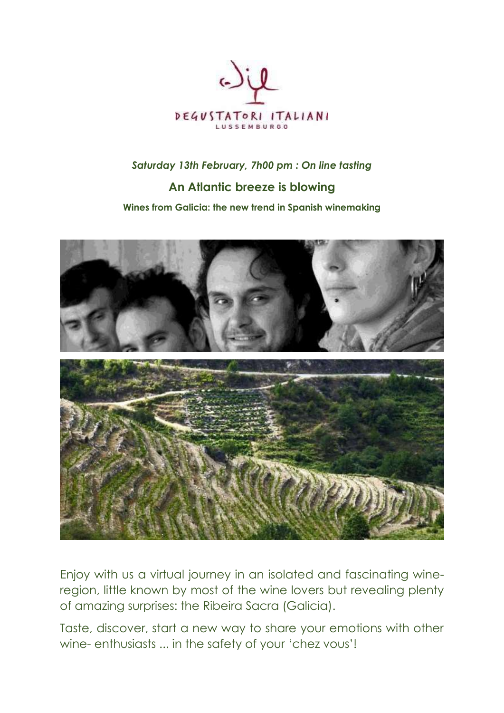

## *Saturday 13th February, 7h00 pm : On line tasting*

## **An Atlantic breeze is blowing**

## **Wines from Galicia: the new trend in Spanish winemaking**



Enjoy with us a virtual journey in an isolated and fascinating wineregion, little known by most of the wine lovers but revealing plenty of amazing surprises: the Ribeira Sacra (Galicia).

Taste, discover, start a new way to share your emotions with other wine- enthusiasts ... in the safety of your 'chez vous'!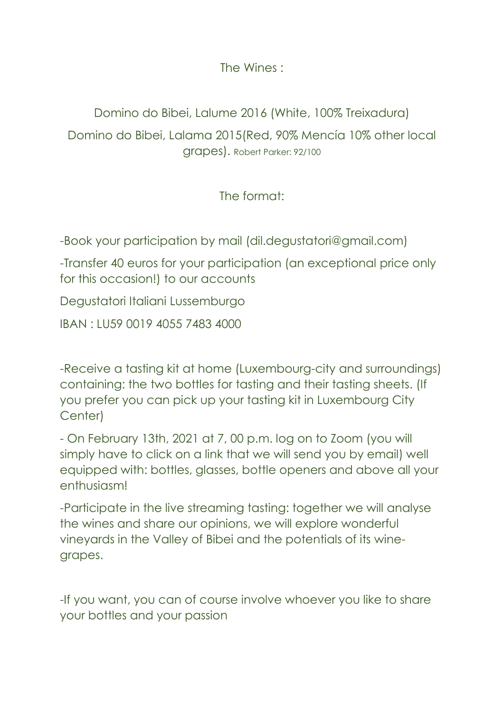The Wines :

Domino do Bibei, Lalume 2016 (White, 100% Treixadura)

Domino do Bibei, Lalama 2015(Red, 90% Mencía 10% other local grapes). Robert Parker: 92/100

The format:

-Book your participation by mail (dil.degustatori@gmail.com)

-Transfer 40 euros for your participation (an exceptional price only for this occasion!) to our accounts

Degustatori Italiani Lussemburgo

IBAN : LU59 0019 4055 7483 4000

-Receive a tasting kit at home (Luxembourg-city and surroundings) containing: the two bottles for tasting and their tasting sheets. (If you prefer you can pick up your tasting kit in Luxembourg City Center)

- On February 13th, 2021 at 7, 00 p.m. log on to Zoom (you will simply have to click on a link that we will send you by email) well equipped with: bottles, glasses, bottle openers and above all your enthusiasml

-Participate in the live streaming tasting: together we will analyse the wines and share our opinions, we will explore wonderful vineyards in the Valley of Bibei and the potentials of its winegrapes.

-If you want, you can of course involve whoever you like to share your bottles and your passion